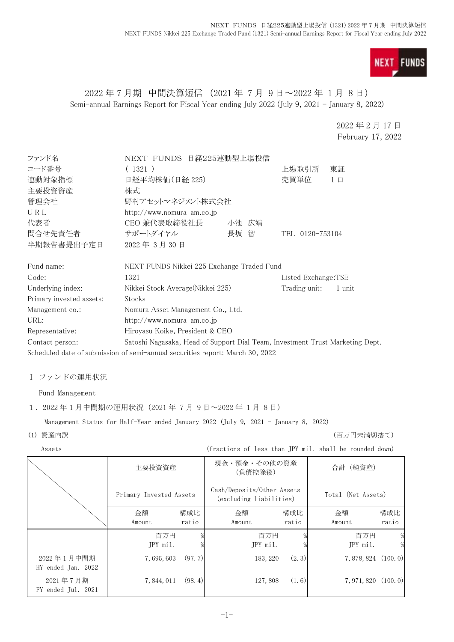

## 2022 年 7 月期 中間決算短信 (2021 年 7 月 9 日~2022 年 1 月 8 日) Semi-annual Earnings Report for Fiscal Year ending July 2022 (July 9, 2021 - January 8, 2022)

2022 年 2 月 17 日 February 17, 2022

| ファンド名                    | NEXT FUNDS 日経225連動型上場投信                                                       |       |                     |          |
|--------------------------|-------------------------------------------------------------------------------|-------|---------------------|----------|
| コード番号                    | (1321)                                                                        | 上場取引所 | 東証                  |          |
| 連動対象指標                   | 日経平均株価(日経 225)                                                                |       | 売買単位                | $1 \Box$ |
| 主要投資資産                   | 株式                                                                            |       |                     |          |
| 管理会社                     | 野村アセットマネジメント株式会社                                                              |       |                     |          |
| URL                      | http://www.nomura-am.co.jp                                                    |       |                     |          |
| 代表者                      | CEO 兼代表取締役社長                                                                  | 小池 広靖 |                     |          |
| 間合せ先責任者                  | サポートダイヤル                                                                      | 長坂 智  | TEL 0120-753104     |          |
| 半期報告書提出予定日               | 2022年3月30日                                                                    |       |                     |          |
| Fund name:               | NEXT FUNDS Nikkei 225 Exchange Traded Fund                                    |       |                     |          |
| Code:                    | 1321                                                                          |       | Listed Exchange:TSE |          |
| Underlying index:        | Nikkei Stock Average(Nikkei 225)                                              |       | Trading unit:       | 1 unit   |
| Primary invested assets: | Stocks                                                                        |       |                     |          |
| Management co.:          | Nomura Asset Management Co., Ltd.                                             |       |                     |          |
| URL:                     | http://www.nomura-am.co.jp                                                    |       |                     |          |
| Representative:          | Hiroyasu Koike, President & CEO                                               |       |                     |          |
| Contact person:          | Satoshi Nagasaka, Head of Support Dial Team, Investment Trust Marketing Dept. |       |                     |          |
|                          | Scheduled date of submission of semi-annual securities report: March 30, 2022 |       |                     |          |

#### Ⅰ ファンドの運用状況

Fund Management

#### 1.2022 年 1 月中間期の運用状況(2021 年 7 月 9 日~2022 年 1 月 8 日)

Management Status for Half-Year ended January 2022 (July 9, 2021 - January 8, 2022)

(1) 資産内訳 (百万円未満切捨て)

Assets (fractions of less than JPY mil. shall be rounded down)

|                                  | 主要投資資産                  |              | 現金・預金・その他の資産<br>(負債控除後)                               |              | 合計(純資産)               |              |
|----------------------------------|-------------------------|--------------|-------------------------------------------------------|--------------|-----------------------|--------------|
|                                  | Primary Invested Assets |              | Cash/Deposits/Other Assets<br>(excluding liabilities) |              | Total (Net Assets)    |              |
|                                  | 金額<br>Amount            | 構成比<br>ratio | 金額<br>Amount                                          | 構成比<br>ratio | 金額<br>Amount          | 構成比<br>ratio |
|                                  | 百万円<br>JPY mil.         |              | 百万円<br>JPY mil.                                       |              | 百万円<br>JPY mil.       | %            |
| 2022年1月中間期<br>HY ended Jan. 2022 | 7,695,603               | (97, 7)      | 183, 220                                              | (2.3)        | $7,878,824$ $(100.0)$ |              |
| 2021年7月期<br>FY ended Jul. 2021   | 7, 844, 011             | (98.4)       | 127,808                                               | (1.6)        | $7,971,820$ $(100.0)$ |              |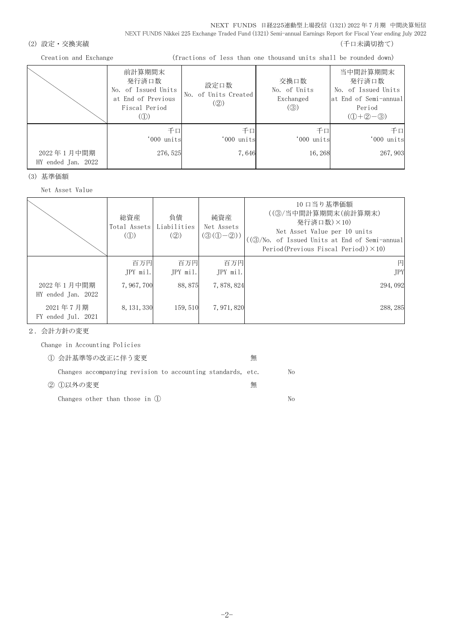NEXT FUNDS 日経225連動型上場投信 (1321) 2022 年 7 月期 中間決算短信 NEXT FUNDS Nikkei 225 Exchange Traded Fund (1321) Semi-annual Earnings Report for Fiscal Year ending July 2022

#### (2) 設定・交換実績 (2) またまま (1) これまでは こころには こうしょう にっぽん (千口未満切捨て)

Creation and Exchange (fractions of less than one thousand units shall be rounded down)

|                                  | 前計算期間末<br>発行済口数<br>No. of Issued Units<br>at End of Previous<br>Fiscal Period<br>(1) | 設定口数<br>No. of Units Created<br>(Q) | 交換口数<br>No. of Units<br>Exchanged<br>$\left( \circledS \right)$ | 当中間計算期間末<br>発行済口数<br>No. of Issued Units<br>at End of Semi-annual<br>Period<br>$(①+②-③)$ |
|----------------------------------|--------------------------------------------------------------------------------------|-------------------------------------|-----------------------------------------------------------------|------------------------------------------------------------------------------------------|
| 2022年1月中間期<br>HY ended Jan. 2022 | 千口<br>'000 units<br>276, 525                                                         | 千口<br>'000 units<br>7,646           | 千口<br>'000 units<br>16, 268                                     | 千口<br>'000 units<br>267, 903                                                             |

(3) 基準価額

Net Asset Value

|                                  | 総資産<br>Total Assets<br>$\left(\circled{1}\right)$ | 負債<br>Liabilities<br>(Q) | 純資産<br>Net Assets<br>$(③(①-②))$ | 10 口当り基準価額<br>((3)/当中間計算期間末(前計算期末)<br>発行済口数)×10)<br>Net Asset Value per 10 units<br>((③/No. of Issued Units at End of Semi-annual<br>Period (Previous Fiscal Period)) $\times$ 10) |
|----------------------------------|---------------------------------------------------|--------------------------|---------------------------------|------------------------------------------------------------------------------------------------------------------------------------------------------------------------------------|
|                                  | 百万円<br>JPY mil.                                   | 百万円<br>JPY mil.          | 百万円<br>JPY mil.                 | 円<br><b>JPY</b>                                                                                                                                                                    |
| 2022年1月中間期<br>HY ended Jan. 2022 | 7, 967, 700                                       | 88,875                   | 7,878,824                       | 294,092                                                                                                                                                                            |
| 2021年7月期<br>FY ended Jul. 2021   | 8, 131, 330                                       | 159, 510                 | 7, 971, 820                     | 288, 285                                                                                                                                                                           |

2.会計方針の変更

Change in Accounting Policies

| ① 会計基準等の改正に伴う変更                                             | 無 |    |
|-------------------------------------------------------------|---|----|
| Changes accompanying revision to accounting standards, etc. |   | No |
| ② ①以外の変更                                                    | 無 |    |
| Changes other than those in $(l)$                           |   | Nο |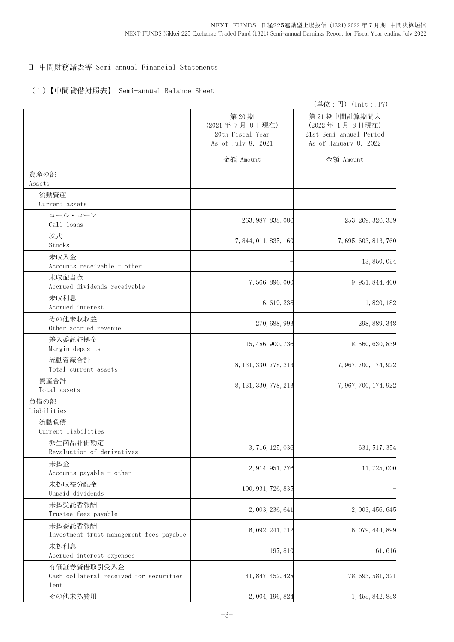## Ⅱ 中間財務諸表等 Semi-annual Financial Statements

#### (1)【中間貸借対照表】 Semi-annual Balance Sheet

|                                                                |                                                                 | (単位:円) (Unit:JPY)                                                                |
|----------------------------------------------------------------|-----------------------------------------------------------------|----------------------------------------------------------------------------------|
|                                                                | 第20期<br>(2021年7月8日現在)<br>20th Fiscal Year<br>As of July 8, 2021 | 第21期中間計算期間末<br>(2022年1月8日現在)<br>21st Semi-annual Period<br>As of January 8, 2022 |
|                                                                | 金額 Amount                                                       | 金額 Amount                                                                        |
| 資産の部<br>Assets                                                 |                                                                 |                                                                                  |
| 流動資産<br>Current assets                                         |                                                                 |                                                                                  |
| コール・ローン                                                        |                                                                 |                                                                                  |
| Call loans                                                     | 263, 987, 838, 086                                              | 253, 269, 326, 339                                                               |
| 株式<br>Stocks                                                   | 7, 844, 011, 835, 160                                           | 7, 695, 603, 813, 760                                                            |
| 未収入金<br>Accounts receivable - other                            |                                                                 | 13, 850, 054                                                                     |
| 未収配当金<br>Accrued dividends receivable                          | 7, 566, 896, 000                                                | 9, 951, 844, 400                                                                 |
| 未収利息<br>Accrued interest                                       | 6, 619, 238                                                     | 1,820,182                                                                        |
| その他未収収益<br>Other accrued revenue                               | 270, 688, 993                                                   | 298, 889, 348                                                                    |
| 差入委託証拠金<br>Margin deposits                                     | 15, 486, 900, 736                                               | 8, 560, 630, 839                                                                 |
| 流動資産合計<br>Total current assets                                 | 8, 131, 330, 778, 213                                           | 7, 967, 700, 174, 922                                                            |
| 資産合計<br>Total assets                                           | 8, 131, 330, 778, 213                                           | 7, 967, 700, 174, 922                                                            |
| 負債の部<br>Liabilities                                            |                                                                 |                                                                                  |
| 流動負債<br>Current liabilities                                    |                                                                 |                                                                                  |
| 派生商品評価勘定<br>Revaluation of derivatives                         | 3, 716, 125, 036                                                | 631, 517, 354                                                                    |
| 未払金<br>Accounts payable - other                                | 2, 914, 951, 276                                                | 11, 725, 000                                                                     |
| 未払収益分配金<br>Unpaid dividends                                    | 100, 931, 726, 835                                              |                                                                                  |
| 未払受託者報酬<br>Trustee fees payable                                | 2, 003, 236, 641                                                | 2, 003, 456, 645                                                                 |
| 未払委託者報酬<br>Investment trust management fees payable            | 6, 092, 241, 712                                                | 6, 079, 444, 899                                                                 |
| 未払利息<br>Accrued interest expenses                              | 197,810                                                         | 61,616                                                                           |
| 有価証券貸借取引受入金<br>Cash collateral received for securities<br>lent | 41, 847, 452, 428                                               | 78, 693, 581, 321                                                                |
| その他未払費用                                                        | 2, 004, 196, 824                                                | 1, 455, 842, 858                                                                 |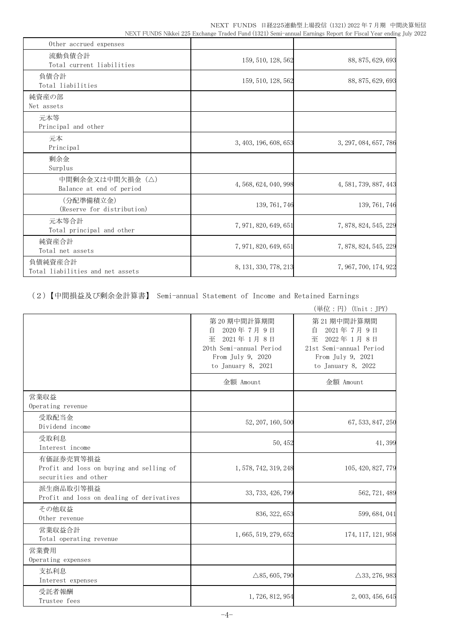NEXT FUNDS 日経225連動型上場投信 (1321) 2022 年 7 月期 中間決算短信 NEXT FUNDS Nikkei 225 Exchange Traded Fund (1321) Semi-annual Earnings Report for Fiscal Year ending July 2022

| Other accrued expenses                      |                       |                       |
|---------------------------------------------|-----------------------|-----------------------|
| 流動負債合計<br>Total current liabilities         | 159, 510, 128, 562    | 88, 875, 629, 693     |
| 負債合計<br>Total liabilities                   | 159, 510, 128, 562    | 88, 875, 629, 693     |
| 純資産の部<br>Net assets                         |                       |                       |
| 元本等<br>Principal and other                  |                       |                       |
| 元本<br>Principal                             | 3, 403, 196, 608, 653 | 3, 297, 084, 657, 786 |
| 剰余金<br>Surplus                              |                       |                       |
| 中間剰余金又は中間欠損金(△)<br>Balance at end of period | 4, 568, 624, 040, 998 | 4, 581, 739, 887, 443 |
| (分配準備積立金)<br>(Reserve for distribution)     | 139, 761, 746         | 139, 761, 746         |
| 元本等合計<br>Total principal and other          | 7, 971, 820, 649, 651 | 7, 878, 824, 545, 229 |
| 純資産合計<br>Total net assets                   | 7, 971, 820, 649, 651 | 7, 878, 824, 545, 229 |
| 負債純資産合計<br>Total liabilities and net assets | 8, 131, 330, 778, 213 | 7, 967, 700, 174, 922 |

(2)【中間損益及び剰余金計算書】 Semi-annual Statement of Income and Retained Earnings

|                                                                               |                                                                                                                      | (単位:円) (Unit: JPY)                                                                                                   |
|-------------------------------------------------------------------------------|----------------------------------------------------------------------------------------------------------------------|----------------------------------------------------------------------------------------------------------------------|
|                                                                               | 第20期中間計算期間<br>2020年7月9日<br>自<br>至<br>2021年1月8日<br>20th Semi-annual Period<br>From July 9, 2020<br>to January 8, 2021 | 第21期中間計算期間<br>2021年7月9日<br>自<br>2022年1月8日<br>至<br>21st Semi-annual Period<br>From July 9, 2021<br>to January 8, 2022 |
|                                                                               | 金額 Amount                                                                                                            | 金額 Amount                                                                                                            |
| 営業収益<br>Operating revenue                                                     |                                                                                                                      |                                                                                                                      |
| 受取配当金<br>Dividend income                                                      | 52, 207, 160, 500                                                                                                    | 67, 533, 847, 250                                                                                                    |
| 受取利息<br>Interest income                                                       | 50, 452                                                                                                              | 41,399                                                                                                               |
| 有価証券売買等損益<br>Profit and loss on buying and selling of<br>securities and other | 1, 578, 742, 319, 248                                                                                                | 105, 420, 827, 779                                                                                                   |
| 派生商品取引等損益<br>Profit and loss on dealing of derivatives                        | 33, 733, 426, 799                                                                                                    | 562, 721, 489                                                                                                        |
| その他収益<br>Other revenue                                                        | 836, 322, 653                                                                                                        | 599, 684, 041                                                                                                        |
| 営業収益合計<br>Total operating revenue                                             | 1, 665, 519, 279, 652                                                                                                | 174, 117, 121, 958                                                                                                   |
| 営業費用<br>Operating expenses                                                    |                                                                                                                      |                                                                                                                      |
| 支払利息<br>Interest expenses                                                     | $\triangle$ 85, 605, 790                                                                                             | $\triangle$ 33, 276, 983                                                                                             |
| 受託者報酬<br>Trustee fees                                                         | 1, 726, 812, 954                                                                                                     | 2, 003, 456, 645                                                                                                     |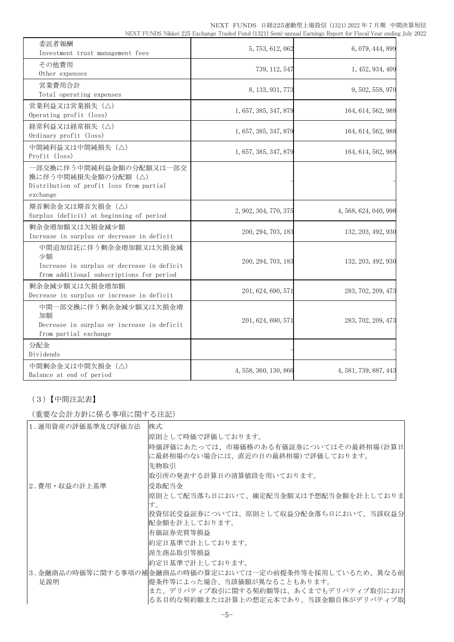| 委託者報酬<br>Investment trust management fees                                                                             | 5, 753, 612, 062      | 6, 079, 444, 899      |
|-----------------------------------------------------------------------------------------------------------------------|-----------------------|-----------------------|
| その他費用<br>Other expenses                                                                                               | 739, 112, 547         | 1, 452, 934, 409      |
| 営業費用合計<br>Total operating expenses                                                                                    | 8, 133, 931, 773      | 9, 502, 558, 970      |
| 営業利益又は営業損失 (△)<br>Operating profit (loss)                                                                             | 1, 657, 385, 347, 879 | 164, 614, 562, 988    |
| 経常利益又は経常損失(△)<br>Ordinary profit (loss)                                                                               | 1, 657, 385, 347, 879 | 164, 614, 562, 988    |
| 中間純利益又は中間純損失 (△)<br>Profit (loss)                                                                                     | 1, 657, 385, 347, 879 | 164, 614, 562, 988    |
| 一部交換に伴う中間純利益金額の分配額又は一部交<br>換に伴う中間純損失金額の分配額(△)<br>Distribution of profit loss from partial<br>exchange                 |                       |                       |
| 期首剰余金又は期首欠損金 (△)<br>Surplus (deficit) at beginning of period                                                          | 2, 902, 304, 770, 375 | 4, 568, 624, 040, 998 |
| 剰余金増加額又は欠損金減少額<br>Increase in surplus or decrease in deficit                                                          | 200, 294, 703, 183    | 132, 203, 492, 930    |
| 中間追加信託に伴う剰余金増加額又は欠損金減<br>少額<br>Increase in surplus or decrease in deficit<br>from additional subscriptions for period | 200, 294, 703, 183    | 132, 203, 492, 930    |
| 剰余金減少額又は欠損金増加額<br>Decrease in surplus or increase in deficit                                                          | 201, 624, 690, 571    | 283, 702, 209, 473    |
| 中間一部交換に伴う剰余金減少額又は欠損金増<br>加額<br>Decrease in surplus or increase in deficit<br>from partial exchange                    | 201, 624, 690, 571    | 283, 702, 209, 473    |
| 分配金<br>Dividends                                                                                                      |                       |                       |
| 中間剰余金又は中間欠損金(△)<br>Balance at end of period                                                                           | 4, 558, 360, 130, 866 | 4, 581, 739, 887, 443 |

# (3)【中間注記表】

(重要な会計方針に係る事項に関する注記)

| 1. 運用資産の評価基準及び評価方法 | 株式                                                      |
|--------------------|---------------------------------------------------------|
|                    | 原則として時価で評価しております。                                       |
|                    | 時価評価にあたっては、市場価格のある有価証券についてはその最終相場(計算日                   |
|                    | に最終相場のない場合には、直近の日の最終相場)で評価しております。                       |
|                    | 先物取引                                                    |
|                    | 取引所の発表する計算日の清算値段を用いております。                               |
| 2.費用・収益の計上基準       | 受取配当金                                                   |
|                    | 原則として配当落ち日において、確定配当金額又は予想配当金額を計上しておりま                   |
|                    | す。                                                      |
|                    | 投資信託受益証券については、原則として収益分配金落ち日において、当該収益分                   |
|                    | 配金額を計上しております。                                           |
|                    | 有価証券売買等損益                                               |
|                    | 約定日基準で計上しております。                                         |
|                    | 派生商品取引等損益                                               |
|                    | 約定日基準で計上しております。                                         |
|                    | 3.金融商品の時価等に関する事項の補金融商品の時価の算定においては一定の前提条件等を採用しているため、異なる前 |
| 足説明                | 提条件等によった場合、当該価額が異なることもあります。                             |
|                    | また、デリバティブ取引に関する契約額等は、あくまでもデリバティブ取引におけ                   |
|                    | る名目的な契約額または計算上の想定元本であり、当該金額自体がデリバティブ取                   |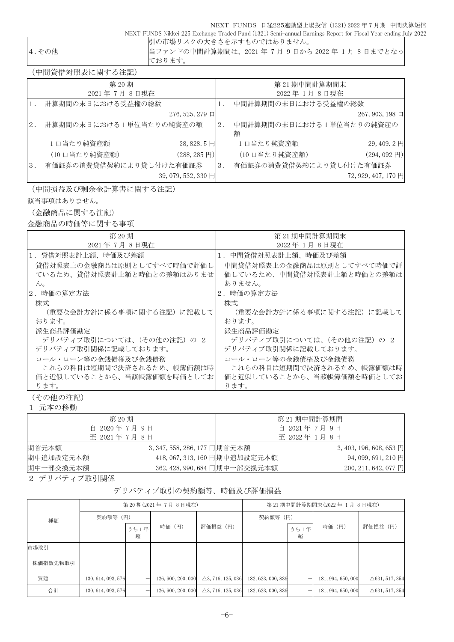NEXT FUNDS 日経225連動型上場投信 (1321) 2022 年 7 月期 中間決算短信 NEXT FUNDS Nikkei 225 Exchange Traded Fund (1321) Semi-annual Earnings Report for Fiscal Year ending July 2022 引の市場リスクの大きさを示すものではありません。

|  | の他 |  |
|--|----|--|
|  |    |  |

4.その他 当ファンドの中間計算期間は、2021 年 7 月 9 日から 2022 年 1 月 8 日までとなっ ております。

(中間貸借対照表に関する注記)

|                  | 第20期                    |                          |    | 第21期中間計算期間末                   |                        |
|------------------|-------------------------|--------------------------|----|-------------------------------|------------------------|
|                  | 2021年7月8日現在             |                          |    | 2022年1月8日現在                   |                        |
|                  | 計算期間の末日における受益権の総数       |                          |    | 中間計算期間の末日における受益権の総数           |                        |
|                  |                         | $276, 525, 279$ $\Box$   |    |                               | $267, 903, 198 \Box$   |
| 2.               | 計算期間の末日における1単位当たりの純資産の額 |                          | 2. | 中間計算期間の末日における1単位当たりの純資産の<br>額 |                        |
|                  | 1日当たり純資産額               | 28,828.5円                |    | 1口当たり純資産額                     | 29,409.2円              |
|                  | (10 口当たり純資産額)           | $(288, 285 \,\boxtimes)$ |    | (10 口当たり純資産額)                 | $(294, 092 \text{ H})$ |
| $\overline{3}$ . | 有価証券の消費貸借契約により貸し付けた有価証券 |                          | 3. | 有価証券の消費貸借契約により貸し付けた有価証券       |                        |
|                  |                         | 39, 079, 532, 330 円      |    |                               | 72, 929, 407, 170 円    |

(中間損益及び剰余金計算書に関する注記)

該当事項はありません。

(金融商品に関する注記)

金融商品の時価等に関する事項

| 第 20 期                     | 第21期中間計算期間末                |  |  |  |  |
|----------------------------|----------------------------|--|--|--|--|
| 2021年7月8日現在                | 2022年1月8日現在                |  |  |  |  |
| 1.貸借対照表計上額、時価及び差額          | 1. 中間貸借対照表計上額、時価及び差額       |  |  |  |  |
| 貸借対照表上の金融商品は原則としてすべて時価で評価し | 中間貸借対照表上の金融商品は原則としてすべて時価で評 |  |  |  |  |
| ているため、貸借対照表計上額と時価との差額はありませ | 価しているため、中間貸借対照表計上額と時価との差額は |  |  |  |  |
| $\lambda$ <sub>o</sub>     | ありません。                     |  |  |  |  |
| 2. 時価の算定方法                 | 2.時価の算定方法                  |  |  |  |  |
| 株式                         | 株式                         |  |  |  |  |
| (重要な会計方針に係る事項に関する注記) に記載して | (重要な会計方針に係る事項に関する注記)に記載して  |  |  |  |  |
| おります。                      | おります。                      |  |  |  |  |
| 派生商品評価勘定                   | 派生商品評価勘定                   |  |  |  |  |
| デリバティブ取引については、(その他の注記) の 2 | デリバティブ取引については、(その他の注記) の 2 |  |  |  |  |
| デリバティブ取引関係に記載しております。       | デリバティブ取引関係に記載しております。       |  |  |  |  |
| コール・ローン等の金銭債権及び金銭債務        | コール・ローン等の金銭債権及び金銭債務        |  |  |  |  |
| これらの科目は短期間で決済されるため、帳簿価額は時  | これらの科目は短期間で決済されるため、帳簿価額は時  |  |  |  |  |
| 価と近似していることから、当該帳簿価額を時価としてお | 価と近似していることから、当該帳簿価額を時価としてお |  |  |  |  |
| ります。                       | ります。                       |  |  |  |  |
| (その他の注記)                   |                            |  |  |  |  |

1 元本の移動

|           | 第 20 期                       |                               | 第 21 期中間計算期間                            |
|-----------|------------------------------|-------------------------------|-----------------------------------------|
|           | 自 2020年7月9日                  |                               | 自 2021年7月9日                             |
|           | 至 2021年7月8日                  |                               | 至 2022年 1月 8日                           |
| 期首元本額     | 3, 347, 558, 286, 177 円期首元本額 |                               | $3,403,196,608,653 \overline{\boxplus}$ |
| 期中追加設定元本額 |                              | 418, 067, 313, 160 円期中追加設定元本額 | 94, 099, 691, 210 円                     |
| 期中一部交換元本額 |                              | 362, 428, 990, 684 円期中一部交換元本額 | 200, 211, 642, 077 円                    |
|           |                              |                               |                                         |

2 デリバティブ取引関係

### デリバティブ取引の契約額等、時価及び評価損益

|          | 第20期(2021年7月8日現在)  |           |                    | 第 21 期中間計算期間末(2022年1月8日現在)   |                    |           |                    |                           |
|----------|--------------------|-----------|--------------------|------------------------------|--------------------|-----------|--------------------|---------------------------|
| 種類       | 契約額等 (円)           |           |                    |                              | 契約額等 (円)           |           |                    |                           |
|          |                    | うち1年<br>超 | 時価 (円)             | 評価損益 (円)                     |                    | うち1年<br>超 | 時価 (円)             | 評価損益 (円)                  |
| 市場取引     |                    |           |                    |                              |                    |           |                    |                           |
| 株価指数先物取引 |                    |           |                    |                              |                    |           |                    |                           |
| 買建       | 130, 614, 093, 576 |           | 126, 900, 200, 000 | $\triangle$ 3, 716, 125, 036 | 182, 623, 000, 839 |           | 181, 994, 650, 000 | $\triangle 631, 517, 354$ |
| 合計       | 130, 614, 093, 576 |           | 126, 900, 200, 000 | $\triangle$ 3, 716, 125, 036 | 182, 623, 000, 839 |           | 181, 994, 650, 000 | $\triangle$ 631, 517, 354 |